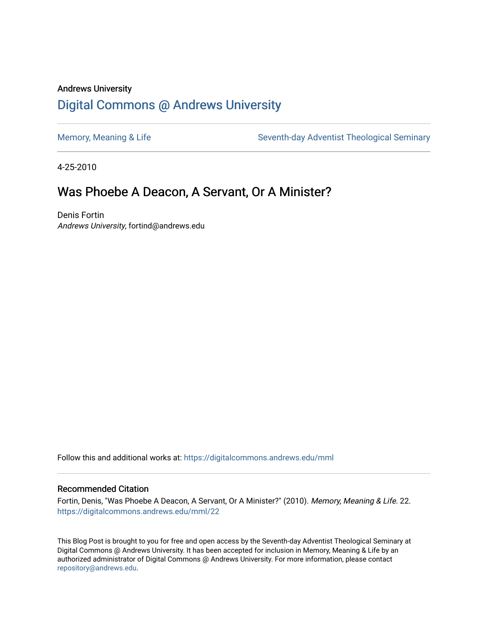# Andrews University [Digital Commons @ Andrews University](https://digitalcommons.andrews.edu/)

[Memory, Meaning & Life](https://digitalcommons.andrews.edu/mml) Seventh-day Adventist Theological Seminary

4-25-2010

# Was Phoebe A Deacon, A Servant, Or A Minister?

Denis Fortin Andrews University, fortind@andrews.edu

Follow this and additional works at: [https://digitalcommons.andrews.edu/mml](https://digitalcommons.andrews.edu/mml?utm_source=digitalcommons.andrews.edu%2Fmml%2F22&utm_medium=PDF&utm_campaign=PDFCoverPages) 

#### Recommended Citation

Fortin, Denis, "Was Phoebe A Deacon, A Servant, Or A Minister?" (2010). Memory, Meaning & Life. 22. [https://digitalcommons.andrews.edu/mml/22](https://digitalcommons.andrews.edu/mml/22?utm_source=digitalcommons.andrews.edu%2Fmml%2F22&utm_medium=PDF&utm_campaign=PDFCoverPages)

This Blog Post is brought to you for free and open access by the Seventh-day Adventist Theological Seminary at Digital Commons @ Andrews University. It has been accepted for inclusion in Memory, Meaning & Life by an authorized administrator of Digital Commons @ Andrews University. For more information, please contact [repository@andrews.edu](mailto:repository@andrews.edu).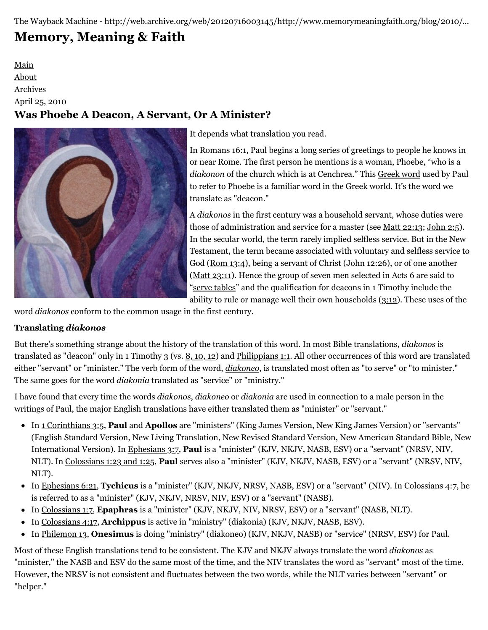The Wayback Machine - http://web.archive.org/web/20120716003145/http://www.memorymeaningfaith.org/blog/2010/…

# **[Memory, Meaning & Faith](http://web.archive.org/web/20120716003145/http://www.memorymeaningfaith.org/blog/)**

# [Main](http://web.archive.org/web/20120716003145/http://www.memorymeaningfaith.org/blog) [About](http://web.archive.org/web/20120716003145/http://www.memorymeaningfaith.org/blog/about.html) [Archives](http://web.archive.org/web/20120716003145/http://www.memorymeaningfaith.org/blog/archives.html) April 25, 2010 **Was Phoebe A Deacon, A Servant, Or A Minister?**



It depends what translation you read.

In [Romans 16:1](http://web.archive.org/web/20120716003145/http://www.biblestudytools.com/interlinear-bible/passage.aspx?q=rom+16%3A1&t=nas), Paul begins a long series of greetings to people he knows in or near Rome. The first person he mentions is a woman, Phoebe, "who is a *diakonon* of the church which is at Cenchrea." This [Greek word](http://web.archive.org/web/20120716003145/http://www.biblestudytools.com/lexicons/greek/nas/diakonos.html) used by Paul to refer to Phoebe is a familiar word in the Greek world. It's the word we translate as "deacon."

A *diakonos* in the first century was a household servant, whose duties were those of administration and service for a master (see <u>[Matt 22:13](http://web.archive.org/web/20120716003145/http://www.biblestudytools.com/interlinear-bible/passage.aspx?q=matt+22%3A13&t=nas); [John 2:5](http://web.archive.org/web/20120716003145/http://www.biblestudytools.com/interlinear-bible/passage.aspx?q=jn+2%3A5&t=nas)</u>). In the secular world, the term rarely implied selfless service. But in the New Testament, the term became associated with voluntary and selfless service to God ([Rom 13:4](http://web.archive.org/web/20120716003145/http://www.biblestudytools.com/interlinear-bible/passage.aspx?q=Rom+13%3A4&t=nas)), being a servant of Christ ([John 12:26\)](http://web.archive.org/web/20120716003145/http://www.biblestudytools.com/interlinear-bible/passage.aspx?q=Jn+12%3A26&t=nas), or of one another ([Matt 23:11](http://web.archive.org/web/20120716003145/http://www.biblestudytools.com/interlinear-bible/passage.aspx?q=Matt+23%3A11&t=nas)). Hence the group of seven men selected in Acts 6 are said to ["serve tables"](http://web.archive.org/web/20120716003145/http://www.biblestudytools.com/interlinear-bible/passage.aspx?q=acts+6%3A2&t=nas) and the qualification for deacons in 1 Timothy include the ability to rule or manage well their own households [\(3:12](http://web.archive.org/web/20120716003145/http://www.biblestudytools.com/interlinear-bible/passage.aspx?q=1+tim+3%3A12&t=nas)). These uses of the

word *diakonos* conform to the common usage in the first century.

# **Translating** *diakonos*

But there's something strange about the history of the translation of this word. In most Bible translations, *diakonos* is translated as "deacon" only in 1 Timothy 3 (vs. [8, 10, 1](http://web.archive.org/web/20120716003145/http://www.biblestuterlinear-bible/passage.aspx?q=1+tim+3%3A8%2C+10%2C+12&t=nas)[2\)](http://web.archive.org/web/20120716003145/http://www.biblestudytools.com/interlinear-bible/passage.aspx?q=1+tim+3%3A8%2C+10%2C+12&t=nas) and [Philippians 1:1.](http://web.archive.org/web/20120716003145/http://www.biblestudytools.com/interlinear-bible/passage.aspx?q=phil+1%3A1&t=nas) All other occurrences of this word are translated either "servant" or "minister." The verb form of the word, *[diakoneo](http://web.archive.org/web/20120716003145/http://www.biblestudytools.com/lexicons/greek/nas/diakoneo.html)*, is translated most often as "to serve" or "to minister." The same goes for the word *[diakonia](http://web.archive.org/web/20120716003145/http://www.biblestudytools.com/lexicons/greek/nas/diakonia.html)* translated as "service" or "ministry."

I have found that every time the words *diakonos*, *diakoneo* or *diakonia* are used in connection to a male person in the writings of Paul, the major English translations have either translated them as "minister" or "servant."

- In [1 Corinthians 3:5](http://web.archive.org/web/20120716003145/http://www.biblestudytools.com/interlinear-bible/passage.aspx?q=1+Corinthians+3%3A5&t=nas), **Paul** and **Apollos** are "ministers" (King James Version, New King James Version) or "servants" (English Standard Version, New Living Translation, New Revised Standard Version, New American Standard Bible, New International Version). In [Ephesians 3:7](http://web.archive.org/web/20120716003145/http://www.biblestudytools.com/interlinear-bible/passage.aspx?q=Ephesians+3%3A7&t=nas), **Paul** is a "minister" (KJV, NKJV, NASB, ESV) or a "servant" (NRSV, NIV, NLT). In [Colossians 1:23 and 1:25,](http://web.archive.org/web/20120716003145/http://www.biblestudytools.com/interlinear-bible/passage.aspx?q=Colossians+1%3A23%2C+25&t=nas) **Paul** serves also a "minister" (KJV, NKJV, NASB, ESV) or a "servant" (NRSV, NIV, NLT).
- In [Ephesians 6:21](http://web.archive.org/web/20120716003145/http://www.biblestudytools.com/interlinear-bible/passage.aspx?q=Ephesians+6%3A21&t=nas), **Tychicus** is a "minister" (KJV, NKJV, NRSV, NASB, ESV) or a "servant" (NIV). In Colossians 4:7, he is referred to as a "minister" (KJV, NKJV, NRSV, NIV, ESV) or a "servant" (NASB).
- In [Colossians 1:7](http://web.archive.org/web/20120716003145/http://www.biblestudytools.com/interlinear-bible/passage.aspx?q=Colossians+1%3A7&t=nas), **Epaphras** is a "minister" (KJV, NKJV, NIV, NRSV, ESV) or a "servant" (NASB, NLT).
- In [Colossians 4:17](http://web.archive.org/web/20120716003145/http://www.biblestudytools.com/interlinear-bible/passage.aspx?q=Colossians+4%3A17&t=nas), **Archippus** is active in "ministry" (diakonia) (KJV, NKJV, NASB, ESV).
- In [Philemon 13](http://web.archive.org/web/20120716003145/http://www.biblestudytools.com/interlinear-bible/passage.aspx?q=Philemon+13&t=nas), **Onesimus** is doing "ministry" (diakoneo) (KJV, NKJV, NASB) or "service" (NRSV, ESV) for Paul.

Most of these English translations tend to be consistent. The KJV and NKJV always translate the word *diakonos* as "minister," the NASB and ESV do the same most of the time, and the NIV translates the word as "servant" most of the time. However, the NRSV is not consistent and fluctuates between the two words, while the NLT varies between "servant" or "helper."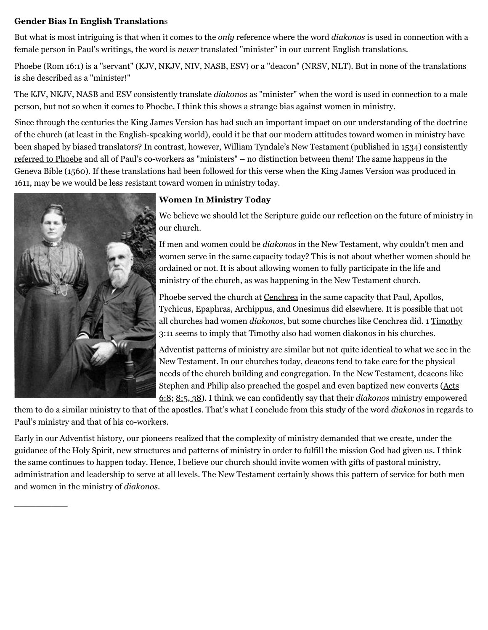# **Gender Bias In English Translation**s

But what is most intriguing is that when it comes to the *only* reference where the word *diakonos* is used in connection with a female person in Paul's writings, the word is *never* translated "minister" in our current English translations.

Phoebe (Rom 16:1) is a "servant" (KJV, NKJV, NIV, NASB, ESV) or a "deacon" (NRSV, NLT). But in none of the translations is she described as a "minister!"

The KJV, NKJV, NASB and ESV consistently translate *diakonos* as "minister" when the word is used in connection to a male person, but not so when it comes to Phoebe. I think this shows a strange bias against women in ministry.

Since through the centuries the King James Version has had such an important impact on our understanding of the doctrine of the church (at least in the English-speaking world), could it be that our modern attitudes toward women in ministry have been shaped by biased translators? In contrast, however, William Tyndale's New Testament (published in 1534) consistently [referred to Phoebe](http://web.archive.org/web/20120716003145/http://www.studylight.org/desk/?l=en&query=romans+16%3A1§ion=2&translation=tyn&oq=Matthew%25201&new=1&nb=mt&ng=1&ncc=1) and all of Paul's co-workers as "ministers" – no distinction between them! The same happens in the [Geneva Bible](http://web.archive.org/web/20120716003145/http://en.wikipedia.org/wiki/Geneva_Bible) (1560). If these translations had been followed for this verse when the King James Version was produced in 1611, may be we would be less resistant toward women in ministry today.



 $\overline{\phantom{a}}$ 

# **[W](http://web.archive.org/web/20120716003145/http://h0bbes.wordpress.com/2006/10/01/more-forgotten-heralds-early-adventist-women-ministers/)omen In Ministry Today**

We believe we should let the Scripture guide our reflection on the future of ministry in our church.

If men and women could be *diakonos* in the New Testament, why couldn't men and women serve in the same capacity today? This is not about whether women should be ordained or not. It is about allowing women to fully participate in the life and ministry of the church, as was happening in the New Testament church.

Phoebe served the church at [Cenchrea](http://web.archive.org/web/20120716003145/http://en.wikipedia.org/wiki/Kechries#History) in the same capacity that Paul, Apollos, Tychicus, Epaphras, Archippus, and Onesimus did elsewhere. It is possible that not all churches had women *diakonos*, but some churches like Cenchrea did. 1 Timothy [3:11 seems to imply that Timothy also had women diakonos in his churches.](http://web.archive.org/web/20120716003145/http://www.biblestudytools.com/nas/1-timothy/3-11.html)

Adventist patterns of ministry are similar but not quite identical to what we see in the New Testament. In our churches today, deacons tend to take care for the physical needs of the church building and congregation. In the New Testament, deacons like [Stephen and Philip also preached the gospel and even baptized new converts \(Acts](http://web.archive.org/web/20120716003145/http://www.biblestudytools.com/nas/acts/6-8.html) 6:8; [8:5, 38\)](http://web.archive.org/web/20120716003145/http://www.biblestudytools.com/nas/acts/passage.aspx?q=Acts+8:5;Acts+8:38). I think we can confidently say that their *diakonos* ministry empowered

them to do a similar ministry to that of the apostles. That's what I conclude from this study of the word *diakonos* in regards to Paul's ministry and that of his co-workers.

Early in our Adventist history, our pioneers realized that the complexity of ministry demanded that we create, under the guidance of the Holy Spirit, new structures and patterns of ministry in order to fulfill the mission God had given us. I think the same continues to happen today. Hence, I believe our church should invite women with gifts of pastoral ministry, administration and leadership to serve at all levels. The New Testament certainly shows this pattern of service for both men and women in the ministry of *diakonos*.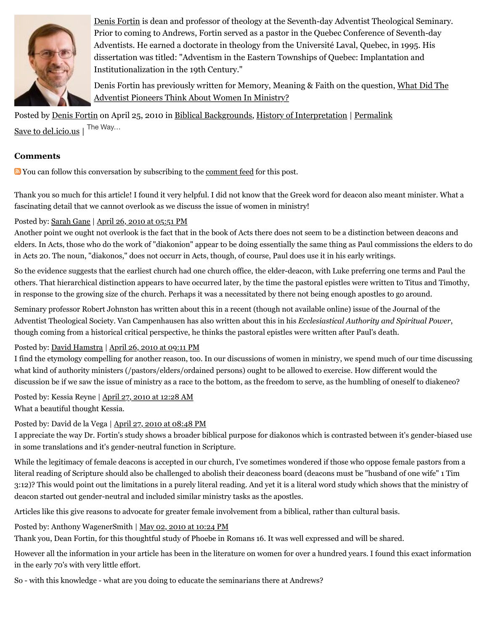

[Denis Fortin](http://web.archive.org/web/20120716003145/http://profile.typepad.com/dfortin) is dean and professor of theology at the Seventh-day Adventist Theological Seminary. Prior to coming to Andrews, Fortin served as a pastor in the Quebec Conference of Seventh-day Adventists. He earned a doctorate in theology from the Université Laval, Quebec, in 1995. His dissertation was titled: "Adventism in the Eastern Townships of Quebec: Implantation and Institutionalization in the 19th Century."

[Denis Fortin has previously written for Memory, Meaning & Faith on the question, What Did The](http://web.archive.org/web/20120716003145/http://www.memorymeaningfaith.org/blog/2010/04/adventist-pioneers-women-ministry.html) Adventist Pioneers Think About Women In Ministry?

Posted by [Denis Fortin](http://web.archive.org/web/20120716003145/http://profile.typepad.com/dfortin) on April 25, 2010 in [Biblical Backgrounds](http://web.archive.org/web/20120716003145/http://www.memorymeaningfaith.org/blog/biblical-backgrounds/), [History of Interpretation](http://web.archive.org/web/20120716003145/http://www.memorymeaningfaith.org/blog/history-of-interpretation/) | [Permalink](http://web.archive.org/web/20120716003145/http://www.memorymeaningfaith.org/blog/2010/04/phoebe-deacon-servant-or-minister.html) [Save to del.icio.us](http://web.archive.org/web/20120716003145/http://del.icio.us/post) | The Way...

## **Comments**

**Not** You can follow this conversation by subscribing to the <u>comment feed</u> for this post.

Thank you so much for this article! I found it very helpful. I did not know that the Greek word for deacon also meant minister. What a fascinating detail that we cannot overlook as we discuss the issue of women in ministry!

### Posted by: [Sarah Gane](http://web.archive.org/web/20120716003145/http://teabagsandtozer.wordpress.com/) | [April 26, 2010 at 05:51 PM](http://web.archive.org/web/20120716003145/http://www.memorymeaningfaith.org/blog/2010/04/phoebe-deacon-servant-or-minister.html?cid=6a01287656f488970c0133ecf95385970b#comment-6a01287656f488970c0133ecf95385970b)

Another point we ought not overlook is the fact that in the book of Acts there does not seem to be a distinction between deacons and elders. In Acts, those who do the work of "diakonion" appear to be doing essentially the same thing as Paul commissions the elders to do in Acts 20. The noun, "diakonos," does not occurr in Acts, though, of course, Paul does use it in his early writings.

So the evidence suggests that the earliest church had one church office, the elder-deacon, with Luke preferring one terms and Paul the others. That hierarchical distinction appears to have occurred later, by the time the pastoral epistles were written to Titus and Timothy, in response to the growing size of the church. Perhaps it was a necessitated by there not being enough apostles to go around.

Seminary professor Robert Johnston has written about this in a recent (though not available online) issue of the Journal of the Adventist Theological Society. Van Campenhausen has also written about this in his *Ecclesiastical Authority and Spiritual Power*, though coming from a historical critical perspective, he thinks the pastoral epistles were written after Paul's death.

#### Posted by: [David Hamstra](http://web.archive.org/web/20120716003145/http://profile.typepad.com/davidhamstra) | [April 26, 2010 at 09:11 PM](http://web.archive.org/web/20120716003145/http://www.memorymeaningfaith.org/blog/2010/04/phoebe-deacon-servant-or-minister.html?cid=6a01287656f488970c01348029fa38970c#comment-6a01287656f488970c01348029fa38970c)

I find the etymology compelling for another reason, too. In our discussions of women in ministry, we spend much of our time discussing what kind of authority ministers (/pastors/elders/ordained persons) ought to be allowed to exercise. How different would the discussion be if we saw the issue of ministry as a race to the bottom, as the freedom to serve, as the humbling of oneself to diakeneo?

Posted by: Kessia Reyne | [April 27, 2010 at 12:28 AM](http://web.archive.org/web/20120716003145/http://www.memorymeaningfaith.org/blog/2010/04/phoebe-deacon-servant-or-minister.html?cid=6a01287656f488970c0133ecfb36c2970b#comment-6a01287656f488970c0133ecfb36c2970b)

What a beautiful thought Kessia.

Posted by: David de la Vega | [April 27, 2010 at 08:48 PM](http://web.archive.org/web/20120716003145/http://www.memorymeaningfaith.org/blog/2010/04/phoebe-deacon-servant-or-minister.html?cid=6a01287656f488970c01348030e98d970c#comment-6a01287656f488970c01348030e98d970c)

I appreciate the way Dr. Fortin's study shows a broader biblical purpose for diakonos which is contrasted between it's gender-biased use in some translations and it's gender-neutral function in Scripture.

While the legitimacy of female deacons is accepted in our church, I've sometimes wondered if those who oppose female pastors from a literal reading of Scripture should also be challenged to abolish their deaconess board (deacons must be "husband of one wife" 1 Tim 3:12)? This would point out the limitations in a purely literal reading. And yet it is a literal word study which shows that the ministry of deacon started out gender-neutral and included similar ministry tasks as the apostles.

Articles like this give reasons to advocate for greater female involvement from a biblical, rather than cultural basis.

Posted by: Anthony WagenerSmith | [May 02, 2010 at 10:24 PM](http://web.archive.org/web/20120716003145/http://www.memorymeaningfaith.org/blog/2010/04/phoebe-deacon-servant-or-minister.html?cid=6a01287656f488970c0133ed2378c4970b#comment-6a01287656f488970c0133ed2378c4970b)

Thank you, Dean Fortin, for this thoughtful study of Phoebe in Romans 16. It was well expressed and will be shared.

However all the information in your article has been in the literature on women for over a hundred years. I found this exact information in the early 70's with very little effort.

So - with this knowledge - what are you doing to educate the seminarians there at Andrews?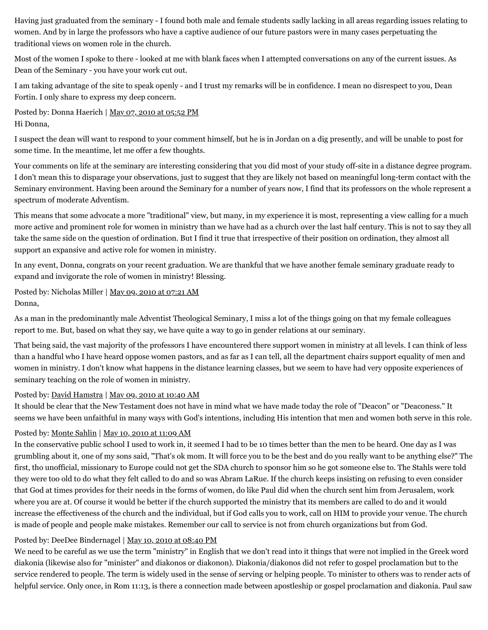Having just graduated from the seminary - I found both male and female students sadly lacking in all areas regarding issues relating to women. And by in large the professors who have a captive audience of our future pastors were in many cases perpetuating the traditional views on women role in the church.

Most of the women I spoke to there - looked at me with blank faces when I attempted conversations on any of the current issues. As Dean of the Seminary - you have your work cut out.

I am taking advantage of the site to speak openly - and I trust my remarks will be in confidence. I mean no disrespect to you, Dean Fortin. I only share to express my deep concern.

Posted by: Donna Haerich | [May 07, 2010 at 05:52 PM](http://web.archive.org/web/20120716003145/http://www.memorymeaningfaith.org/blog/2010/04/phoebe-deacon-servant-or-minister.html?cid=6a01287656f488970c0133ed641c5d970b#comment-6a01287656f488970c0133ed641c5d970b) Hi Donna,

I suspect the dean will want to respond to your comment himself, but he is in Jordan on a dig presently, and will be unable to post for some time. In the meantime, let me offer a few thoughts.

Your comments on life at the seminary are interesting considering that you did most of your study off-site in a distance degree program. I don't mean this to disparage your observations, just to suggest that they are likely not based on meaningful long-term contact with the Seminary environment. Having been around the Seminary for a number of years now, I find that its professors on the whole represent a spectrum of moderate Adventism.

This means that some advocate a more "traditional" view, but many, in my experience it is most, representing a view calling for a much more active and prominent role for women in ministry than we have had as a church over the last half century. This is not to say they all take the same side on the question of ordination. But I find it true that irrespective of their position on ordination, they almost all support an expansive and active role for women in ministry.

In any event, Donna, congrats on your recent graduation. We are thankful that we have another female seminary graduate ready to expand and invigorate the role of women in ministry! Blessing.

Posted by: Nicholas Miller | <u>[May 09, 2010 at 07:21 AM](http://web.archive.org/web/20120716003145/http://www.memorymeaningfaith.org/blog/2010/04/phoebe-deacon-servant-or-minister.html?cid=6a01287656f488970c0133ed6b3705970b#comment-6a01287656f488970c0133ed6b3705970b)</u> Donna,

As a man in the predominantly male Adventist Theological Seminary, I miss a lot of the things going on that my female colleagues report to me. But, based on what they say, we have quite a way to go in gender relations at our seminary.

That being said, the vast majority of the professors I have encountered there support women in ministry at all levels. I can think of less than a handful who I have heard oppose women pastors, and as far as I can tell, all the department chairs support equality of men and women in ministry. I don't know what happens in the distance learning classes, but we seem to have had very opposite experiences of seminary teaching on the role of women in ministry.

#### Posted by: [David Hamstra](http://web.archive.org/web/20120716003145/http://profile.typepad.com/davidhamstra) | [May 09, 2010 at 10:40 AM](http://web.archive.org/web/20120716003145/http://www.memorymeaningfaith.org/blog/2010/04/phoebe-deacon-servant-or-minister.html?cid=6a01287656f488970c0134809f6c40970c#comment-6a01287656f488970c0134809f6c40970c)

It should be clear that the New Testament does not have in mind what we have made today the role of "Deacon" or "Deaconess." It seems we have been unfaithful in many ways with God's intentions, including His intention that men and women both serve in this role.

# Posted by: [Monte Sahlin](http://web.archive.org/web/20120716003145/http://www.montesahlin.com/) | [May 10, 2010 at 11:09 AM](http://web.archive.org/web/20120716003145/http://www.memorymeaningfaith.org/blog/2010/04/phoebe-deacon-servant-or-minister.html?cid=6a01287656f488970c0133ed711114970b#comment-6a01287656f488970c0133ed711114970b)

In the conservative public school I used to work in, it seemed I had to be 10 times better than the men to be heard. One day as I was grumbling about it, one of my sons said, "That's ok mom. It will force you to be the best and do you really want to be anything else?" The first, tho unofficial, missionary to Europe could not get the SDA church to sponsor him so he got someone else to. The Stahls were told they were too old to do what they felt called to do and so was Abram LaRue. If the church keeps insisting on refusing to even consider that God at times provides for their needs in the forms of women, do like Paul did when the church sent him from Jerusalem, work where you are at. Of course it would be better if the church supported the ministry that its members are called to do and it would increase the effectiveness of the church and the individual, but if God calls you to work, call on HIM to provide your venue. The church is made of people and people make mistakes. Remember our call to service is not from church organizations but from God.

# Posted by: DeeDee Bindernagel | [May 10, 2010 at 08:40 PM](http://web.archive.org/web/20120716003145/http://www.memorymeaningfaith.org/blog/2010/04/phoebe-deacon-servant-or-minister.html?cid=6a01287656f488970c0133ed764196970b#comment-6a01287656f488970c0133ed764196970b)

We need to be careful as we use the term "ministry" in English that we don't read into it things that were not implied in the Greek word diakonia (likewise also for "minister" and diakonos or diakonon). Diakonia/diakonos did not refer to gospel proclamation but to the service rendered to people. The term is widely used in the sense of serving or helping people. To minister to others was to render acts of helpful service. Only once, in Rom 11:13, is there a connection made between apostleship or gospel proclamation and diakonia. Paul saw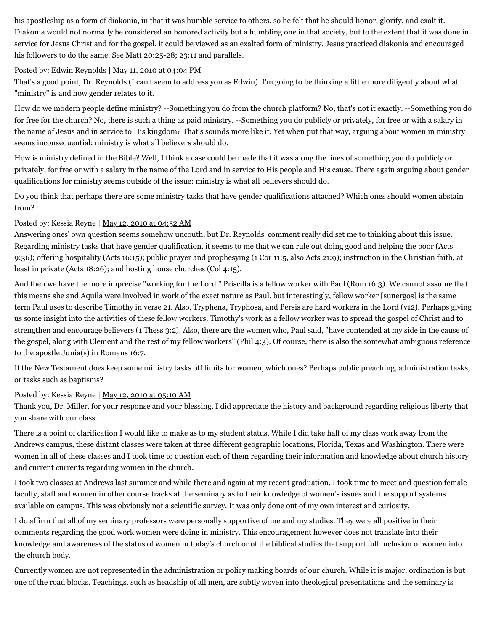his apostleship as a form of diakonia, in that it was humble service to others, so he felt that he should honor, glorify, and exalt it. Diakonia would not normally be considered an honored activity but a humbling one in that society, but to the extent that it was done in service for Jesus Christ and for the gospel, it could be viewed as an exalted form of ministry. Jesus practiced diakonia and encouraged his followers to do the same. See Matt 20:25-28; 23:11 and parallels.

#### Posted by: Edwin Reynolds | [May 11, 2010 at 04:04 PM](http://web.archive.org/web/20120716003145/http://www.memorymeaningfaith.org/blog/2010/04/phoebe-deacon-servant-or-minister.html?cid=6a01287656f488970c0133ed7dcfcd970b#comment-6a01287656f488970c0133ed7dcfcd970b)

That's a good point, Dr. Reynolds (I can't seem to address you as Edwin). I'm going to be thinking a little more diligently about what "ministry" is and how gender relates to it.

How do we modern people define ministry? --Something you do from the church platform? No, that's not it exactly. --Something you do for free for the church? No, there is such a thing as paid ministry. --Something you do publicly or privately, for free or with a salary in the name of Jesus and in service to His kingdom? That's sounds more like it. Yet when put that way, arguing about women in ministry seems inconsequential: ministry is what all believers should do.

How is ministry defined in the Bible? Well, I think a case could be made that it was along the lines of something you do publicly or privately, for free or with a salary in the name of the Lord and in service to His people and His cause. There again arguing about gender qualifications for ministry seems outside of the issue: ministry is what all believers should do.

Do you think that perhaps there are some ministry tasks that have gender qualifications attached? Which ones should women abstain from?

# Posted by: Kessia Reyne | [May 12, 2010 at 04:52 AM](http://web.archive.org/web/20120716003145/http://www.memorymeaningfaith.org/blog/2010/04/phoebe-deacon-servant-or-minister.html?cid=6a01287656f488970c0133ed82b172970b#comment-6a01287656f488970c0133ed82b172970b)

Answering ones' own question seems somehow uncouth, but Dr. Reynolds' comment really did set me to thinking about this issue. Regarding ministry tasks that have gender qualification, it seems to me that we can rule out doing good and helping the poor (Acts 9:36); offering hospitality (Acts 16:15); public prayer and prophesying (1 Cor 11:5, also Acts 21:9); instruction in the Christian faith, at least in private (Acts 18:26); and hosting house churches (Col 4:15).

And then we have the more imprecise "working for the Lord." Priscilla is a fellow worker with Paul (Rom 16:3). We cannot assume that this means she and Aquila were involved in work of the exact nature as Paul, but interestingly, fellow worker [sunergos] is the same term Paul uses to describe Timothy in verse 21. Also, Tryphena, Tryphosa, and Persis are hard workers in the Lord (v12). Perhaps giving us some insight into the activities of these fellow workers, Timothy's work as a fellow worker was to spread the gospel of Christ and to strengthen and encourage believers (1 Thess 3:2). Also, there are the women who, Paul said, "have contended at my side in the cause of the gospel, along with Clement and the rest of my fellow workers" (Phil 4:3). Of course, there is also the somewhat ambiguous reference to the apostle Junia(s) in Romans 16:7.

If the New Testament does keep some ministry tasks off limits for women, which ones? Perhaps public preaching, administration tasks, or tasks such as baptisms?

#### Posted by: Kessia Reyne | [May 12, 2010 at 05:10 AM](http://web.archive.org/web/20120716003145/http://www.memorymeaningfaith.org/blog/2010/04/phoebe-deacon-servant-or-minister.html?cid=6a01287656f488970c0133ed82c0ad970b#comment-6a01287656f488970c0133ed82c0ad970b)

Thank you, Dr. Miller, for your response and your blessing. I did appreciate the history and background regarding religious liberty that you share with our class.

There is a point of clarification I would like to make as to my student status. While I did take half of my class work away from the Andrews campus, these distant classes were taken at three different geographic locations, Florida, Texas and Washington. There were women in all of these classes and I took time to question each of them regarding their information and knowledge about church history and current currents regarding women in the church.

I took two classes at Andrews last summer and while there and again at my recent graduation, I took time to meet and question female faculty, staff and women in other course tracks at the seminary as to their knowledge of women's issues and the support systems available on campus. This was obviously not a scientific survey. It was only done out of my own interest and curiosity.

I do affirm that all of my seminary professors were personally supportive of me and my studies. They were all positive in their comments regarding the good work women were doing in ministry. This encouragement however does not translate into their knowledge and awareness of the status of women in today's church or of the biblical studies that support full inclusion of women into the church body.

Currently women are not represented in the administration or policy making boards of our church. While it is major, ordination is but one of the road blocks. Teachings, such as headship of all men, are subtly woven into theological presentations and the seminary is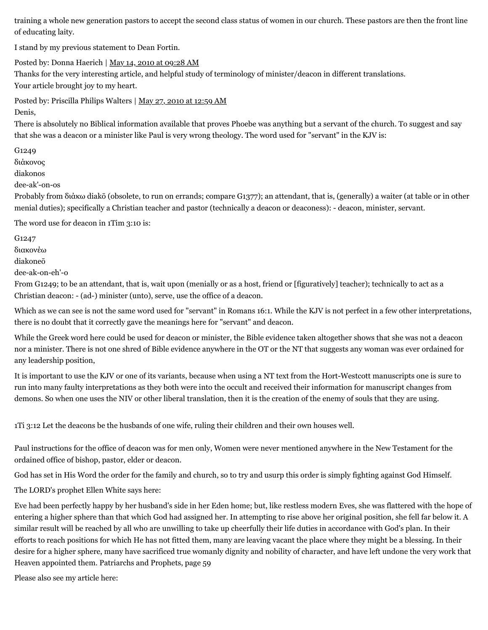training a whole new generation pastors to accept the second class status of women in our church. These pastors are then the front line of educating laity.

I stand by my previous statement to Dean Fortin.

Posted by: Donna Haerich | [May 14, 2010 at 09:28 AM](http://web.archive.org/web/20120716003145/http://www.memorymeaningfaith.org/blog/2010/04/phoebe-deacon-servant-or-minister.html?cid=6a01287656f488970c0133ed9749c1970b#comment-6a01287656f488970c0133ed9749c1970b) Thanks for the very interesting article, and helpful study of terminology of minister/deacon in different translations. Your article brought joy to my heart.

Posted by: Priscilla Philips Walters | [May 27, 2010 at 12:59 AM](http://web.archive.org/web/20120716003145/http://www.memorymeaningfaith.org/blog/2010/04/phoebe-deacon-servant-or-minister.html?cid=6a01287656f488970c0133eee464e3970b#comment-6a01287656f488970c0133eee464e3970b) Denis,

There is absolutely no Biblical information available that proves Phoebe was anything but a servant of the church. To suggest and say that she was a deacon or a minister like Paul is very wrong theology. The word used for "servant" in the KJV is:

G1249

διάκονος

diakonos

dee-ak'-on-os

Probably from διάκω diakō (obsolete, to run on errands; compare G1377); an attendant, that is, (generally) a waiter (at table or in other menial duties); specifically a Christian teacher and pastor (technically a deacon or deaconess): - deacon, minister, servant.

The word use for deacon in 1Tim 3:10 is:

G1247

διακονέω

diakoneō

dee-ak-on-eh'-o

From G1249; to be an attendant, that is, wait upon (menially or as a host, friend or [figuratively] teacher); technically to act as a Christian deacon: - (ad-) minister (unto), serve, use the office of a deacon.

Which as we can see is not the same word used for "servant" in Romans 16:1. While the KJV is not perfect in a few other interpretations, there is no doubt that it correctly gave the meanings here for "servant" and deacon.

While the Greek word here could be used for deacon or minister, the Bible evidence taken altogether shows that she was not a deacon nor a minister. There is not one shred of Bible evidence anywhere in the OT or the NT that suggests any woman was ever ordained for any leadership position,

It is important to use the KJV or one of its variants, because when using a NT text from the Hort-Westcott manuscripts one is sure to run into many faulty interpretations as they both were into the occult and received their information for manuscript changes from demons. So when one uses the NIV or other liberal translation, then it is the creation of the enemy of souls that they are using.

1Ti 3:12 Let the deacons be the husbands of one wife, ruling their children and their own houses well.

Paul instructions for the office of deacon was for men only, Women were never mentioned anywhere in the New Testament for the ordained office of bishop, pastor, elder or deacon.

God has set in His Word the order for the family and church, so to try and usurp this order is simply fighting against God Himself.

The LORD's prophet Ellen White says here:

Eve had been perfectly happy by her husband's side in her Eden home; but, like restless modern Eves, she was flattered with the hope of entering a higher sphere than that which God had assigned her. In attempting to rise above her original position, she fell far below it. A similar result will be reached by all who are unwilling to take up cheerfully their life duties in accordance with God's plan. In their efforts to reach positions for which He has not fitted them, many are leaving vacant the place where they might be a blessing. In their desire for a higher sphere, many have sacrificed true womanly dignity and nobility of character, and have left undone the very work that Heaven appointed them. Patriarchs and Prophets, page 59

Please also see my article here: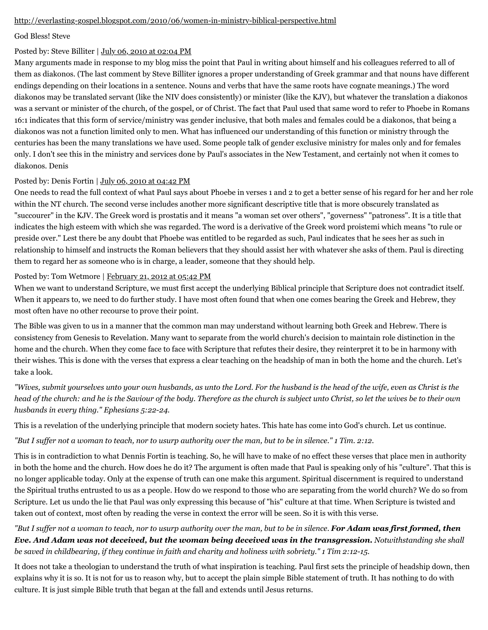#### [http://everlasting-gospel.blogspot.com/2010/06/women-in-ministry-biblical-perspective.html](http://web.archive.org/web/20120716003145/http://everlasting-gospel.blogspot.com/2010/06/women-in-ministry-biblical-perspective.html)

#### God Bless! Steve

#### Posted by: Steve Billiter | [July 06, 2010 at 02:04 PM](http://web.archive.org/web/20120716003145/http://www.memorymeaningfaith.org/blog/2010/04/phoebe-deacon-servant-or-minister.html?cid=6a01287656f488970c0133f21892fd970b#comment-6a01287656f488970c0133f21892fd970b)

Many arguments made in response to my blog miss the point that Paul in writing about himself and his colleagues referred to all of them as diakonos. (The last comment by Steve Billiter ignores a proper understanding of Greek grammar and that nouns have different endings depending on their locations in a sentence. Nouns and verbs that have the same roots have cognate meanings.) The word diakonos may be translated servant (like the NIV does consistently) or minister (like the KJV), but whatever the translation a diakonos was a servant or minister of the church, of the gospel, or of Christ. The fact that Paul used that same word to refer to Phoebe in Romans 16:1 indicates that this form of service/ministry was gender inclusive, that both males and females could be a diakonos, that being a diakonos was not a function limited only to men. What has influenced our understanding of this function or ministry through the centuries has been the many translations we have used. Some people talk of gender exclusive ministry for males only and for females only. I don't see this in the ministry and services done by Paul's associates in the New Testament, and certainly not when it comes to diakonos. Denis

#### Posted by: Denis Fortin | [July 06, 2010 at 04:42 PM](http://web.archive.org/web/20120716003145/http://www.memorymeaningfaith.org/blog/2010/04/phoebe-deacon-servant-or-minister.html?cid=6a01287656f488970c0133f21983b4970b#comment-6a01287656f488970c0133f21983b4970b)

One needs to read the full context of what Paul says about Phoebe in verses 1 and 2 to get a better sense of his regard for her and her role within the NT church. The second verse includes another more significant descriptive title that is more obscurely translated as "succourer" in the KJV. The Greek word is prostatis and it means "a woman set over others", "governess" "patroness". It is a title that indicates the high esteem with which she was regarded. The word is a derivative of the Greek word proistemi which means "to rule or preside over." Lest there be any doubt that Phoebe was entitled to be regarded as such, Paul indicates that he sees her as such in relationship to himself and instructs the Roman believers that they should assist her with whatever she asks of them. Paul is directing them to regard her as someone who is in charge, a leader, someone that they should help.

#### Posted by: Tom Wetmore | [February 21, 2012 at 05:42 PM](http://web.archive.org/web/20120716003145/http://www.memorymeaningfaith.org/blog/2010/04/phoebe-deacon-servant-or-minister.html?cid=6a01287656f488970c016301cb039d970d#comment-6a01287656f488970c016301cb039d970d)

When we want to understand Scripture, we must first accept the underlying Biblical principle that Scripture does not contradict itself. When it appears to, we need to do further study. I have most often found that when one comes bearing the Greek and Hebrew, they most often have no other recourse to prove their point.

The Bible was given to us in a manner that the common man may understand without learning both Greek and Hebrew. There is consistency from Genesis to Revelation. Many want to separate from the world church's decision to maintain role distinction in the home and the church. When they come face to face with Scripture that refutes their desire, they reinterpret it to be in harmony with their wishes. This is done with the verses that express a clear teaching on the headship of man in both the home and the church. Let's take a look.

*"Wives, submit yourselves unto your own husbands, as unto the Lord. For the husband is the head of the wife, even as Christ is the head of the church: and he is the Saviour of the body. Therefore as the church is subject unto Christ, so let the wives be to their own husbands in every thing." Ephesians 5:22-24.*

This is a revelation of the underlying principle that modern society hates. This hate has come into God's church. Let us continue.

*"But I suffer not a woman to teach, nor to usurp authority over the man, but to be in silence." 1 Tim. 2:12.*

This is in contradiction to what Dennis Fortin is teaching. So, he will have to make of no effect these verses that place men in authority in both the home and the church. How does he do it? The argument is often made that Paul is speaking only of his "culture". That this is no longer applicable today. Only at the expense of truth can one make this argument. Spiritual discernment is required to understand the Spiritual truths entrusted to us as a people. How do we respond to those who are separating from the world church? We do so from Scripture. Let us undo the lie that Paul was only expressing this because of "his" culture at that time. When Scripture is twisted and taken out of context, most often by reading the verse in context the error will be seen. So it is with this verse.

*"But I suffer not a woman to teach, nor to usurp authority over the man, but to be in silence. For Adam was first formed, then Eve. And Adam was not deceived, but the woman being deceived was in the transgression. Notwithstanding she shall be saved in childbearing, if they continue in faith and charity and holiness with sobriety." 1 Tim 2:12-15.*

It does not take a theologian to understand the truth of what inspiration is teaching. Paul first sets the principle of headship down, then explains why it is so. It is not for us to reason why, but to accept the plain simple Bible statement of truth. It has nothing to do with culture. It is just simple Bible truth that began at the fall and extends until Jesus returns.